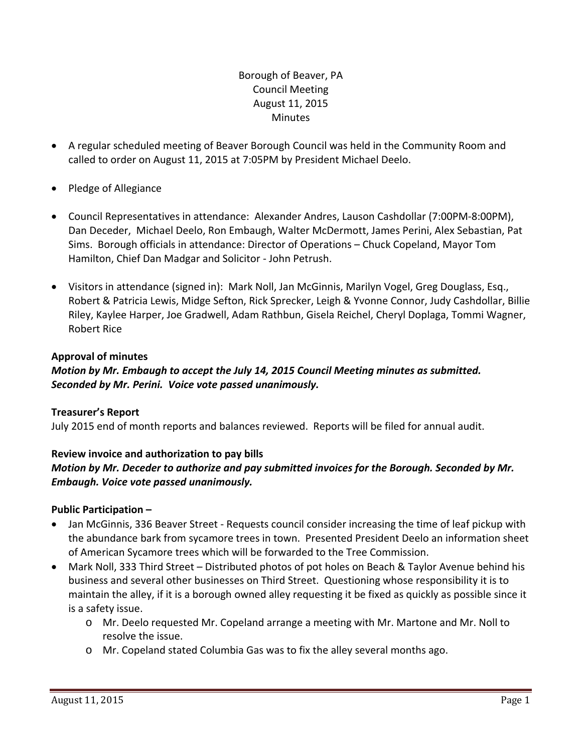## Borough of Beaver, PA Council Meeting August 11, 2015 **Minutes**

- A regular scheduled meeting of Beaver Borough Council was held in the Community Room and called to order on August 11, 2015 at 7:05PM by President Michael Deelo.
- Pledge of Allegiance
- Council Representatives in attendance: Alexander Andres, Lauson Cashdollar (7:00PM‐8:00PM), Dan Deceder, Michael Deelo, Ron Embaugh, Walter McDermott, James Perini, Alex Sebastian, Pat Sims. Borough officials in attendance: Director of Operations – Chuck Copeland, Mayor Tom Hamilton, Chief Dan Madgar and Solicitor ‐ John Petrush.
- Visitors in attendance (signed in): Mark Noll, Jan McGinnis, Marilyn Vogel, Greg Douglass, Esq., Robert & Patricia Lewis, Midge Sefton, Rick Sprecker, Leigh & Yvonne Connor, Judy Cashdollar, Billie Riley, Kaylee Harper, Joe Gradwell, Adam Rathbun, Gisela Reichel, Cheryl Doplaga, Tommi Wagner, Robert Rice

## **Approval of minutes**

## *Motion by Mr. Embaugh to accept the July 14, 2015 Council Meeting minutes as submitted. Seconded by Mr. Perini. Voice vote passed unanimously.*

#### **Treasurer's Report**

July 2015 end of month reports and balances reviewed. Reports will be filed for annual audit.

## **Review invoice and authorization to pay bills**

## *Motion by Mr. Deceder to authorize and pay submitted invoices for the Borough. Seconded by Mr. Embaugh. Voice vote passed unanimously.*

## **Public Participation –**

- Jan McGinnis, 336 Beaver Street ‐ Requests council consider increasing the time of leaf pickup with the abundance bark from sycamore trees in town. Presented President Deelo an information sheet of American Sycamore trees which will be forwarded to the Tree Commission.
- Mark Noll, 333 Third Street Distributed photos of pot holes on Beach & Taylor Avenue behind his business and several other businesses on Third Street. Questioning whose responsibility it is to maintain the alley, if it is a borough owned alley requesting it be fixed as quickly as possible since it is a safety issue.
	- o Mr. Deelo requested Mr. Copeland arrange a meeting with Mr. Martone and Mr. Noll to resolve the issue.
	- o Mr. Copeland stated Columbia Gas was to fix the alley several months ago.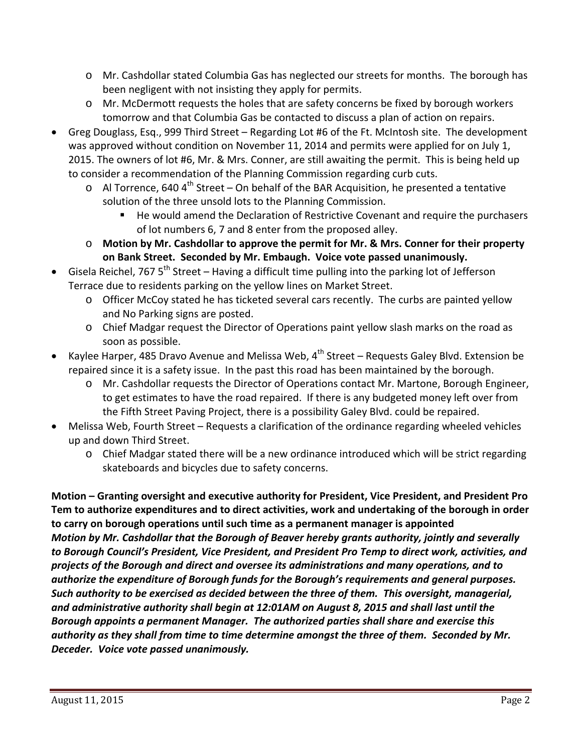- o Mr. Cashdollar stated Columbia Gas has neglected our streets for months. The borough has been negligent with not insisting they apply for permits.
- o Mr. McDermott requests the holes that are safety concerns be fixed by borough workers tomorrow and that Columbia Gas be contacted to discuss a plan of action on repairs.
- Greg Douglass, Esq., 999 Third Street Regarding Lot #6 of the Ft. McIntosh site. The development was approved without condition on November 11, 2014 and permits were applied for on July 1, 2015. The owners of lot #6, Mr. & Mrs. Conner, are still awaiting the permit. This is being held up to consider a recommendation of the Planning Commission regarding curb cuts.
	- $\circ$  Al Torrence, 640 4<sup>th</sup> Street On behalf of the BAR Acquisition, he presented a tentative solution of the three unsold lots to the Planning Commission.
		- He would amend the Declaration of Restrictive Covenant and require the purchasers of lot numbers 6, 7 and 8 enter from the proposed alley.
	- o **Motion by Mr. Cashdollar to approve the permit for Mr. & Mrs. Conner for their property on Bank Street. Seconded by Mr. Embaugh. Voice vote passed unanimously.**
- Gisela Reichel, 767 5<sup>th</sup> Street Having a difficult time pulling into the parking lot of Jefferson Terrace due to residents parking on the yellow lines on Market Street.
	- o Officer McCoy stated he has ticketed several cars recently. The curbs are painted yellow and No Parking signs are posted.
	- o Chief Madgar request the Director of Operations paint yellow slash marks on the road as soon as possible.
- Kaylee Harper, 485 Dravo Avenue and Melissa Web,  $4^{th}$  Street Requests Galey Blvd. Extension be repaired since it is a safety issue. In the past this road has been maintained by the borough.
	- o Mr. Cashdollar requests the Director of Operations contact Mr. Martone, Borough Engineer, to get estimates to have the road repaired. If there is any budgeted money left over from the Fifth Street Paving Project, there is a possibility Galey Blvd. could be repaired.
- Melissa Web, Fourth Street Requests a clarification of the ordinance regarding wheeled vehicles up and down Third Street.
	- o Chief Madgar stated there will be a new ordinance introduced which will be strict regarding skateboards and bicycles due to safety concerns.

**Motion – Granting oversight and executive authority for President, Vice President, and President Pro Tem to authorize expenditures and to direct activities, work and undertaking of the borough in order to carry on borough operations until such time as a permanent manager is appointed**  *Motion by Mr. Cashdollar that the Borough of Beaver hereby grants authority, jointly and severally to Borough Council's President, Vice President, and President Pro Temp to direct work, activities, and projects of the Borough and direct and oversee its administrations and many operations, and to authorize the expenditure of Borough funds for the Borough's requirements and general purposes. Such authority to be exercised as decided between the three of them. This oversight, managerial, and administrative authority shall begin at 12:01AM on August 8, 2015 and shall last until the Borough appoints a permanent Manager. The authorized parties shall share and exercise this authority as they shall from time to time determine amongst the three of them. Seconded by Mr. Deceder. Voice vote passed unanimously.*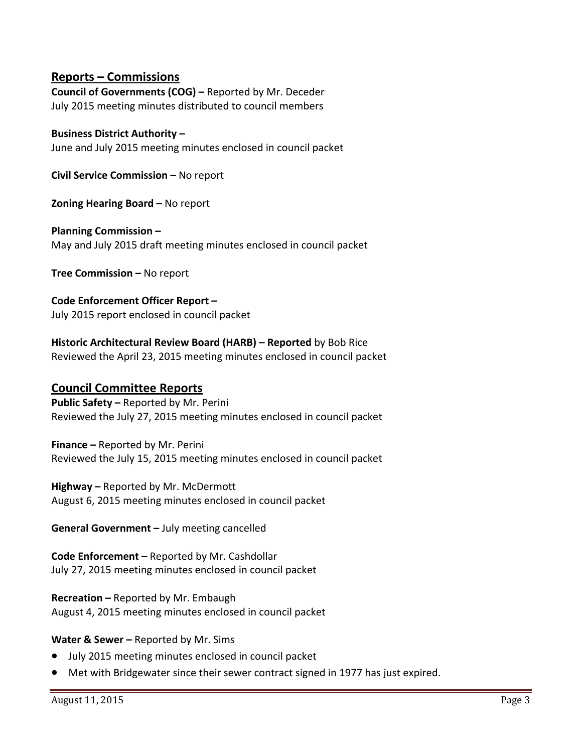## **Reports – Commissions**

**Council of Governments (COG) –** Reported by Mr. Deceder July 2015 meeting minutes distributed to council members

#### **Business District Authority –**

June and July 2015 meeting minutes enclosed in council packet

**Civil Service Commission –** No report

**Zoning Hearing Board –** No report

**Planning Commission –** May and July 2015 draft meeting minutes enclosed in council packet

**Tree Commission –** No report

**Code Enforcement Officer Report –** July 2015 report enclosed in council packet

**Historic Architectural Review Board (HARB) – Reported** by Bob Rice Reviewed the April 23, 2015 meeting minutes enclosed in council packet

## **Council Committee Reports**

**Public Safety –** Reported by Mr. Perini Reviewed the July 27, 2015 meeting minutes enclosed in council packet

**Finance –** Reported by Mr. Perini Reviewed the July 15, 2015 meeting minutes enclosed in council packet

**Highway –** Reported by Mr. McDermott August 6, 2015 meeting minutes enclosed in council packet

**General Government –** July meeting cancelled

**Code Enforcement –** Reported by Mr. Cashdollar July 27, 2015 meeting minutes enclosed in council packet

**Recreation –** Reported by Mr. Embaugh August 4, 2015 meeting minutes enclosed in council packet

#### **Water & Sewer –** Reported by Mr. Sims

- July 2015 meeting minutes enclosed in council packet
- Met with Bridgewater since their sewer contract signed in 1977 has just expired.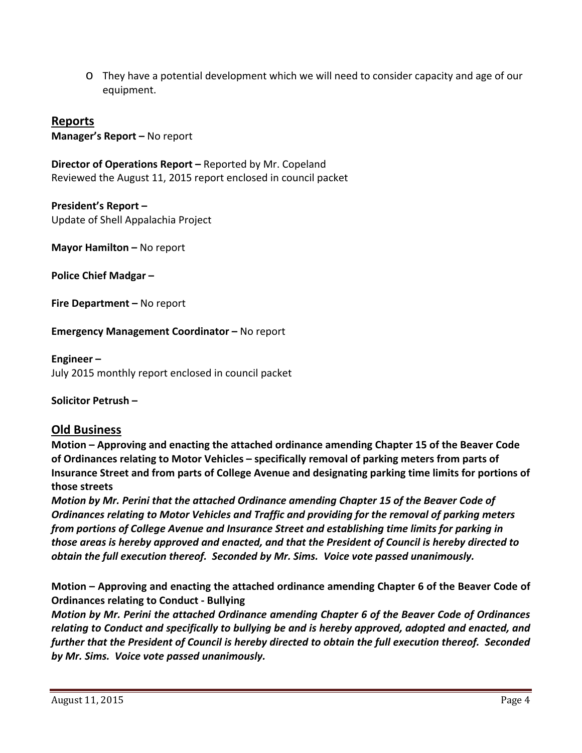o They have a potential development which we will need to consider capacity and age of our equipment.

**Reports Manager's Report –** No report

**Director of Operations Report –** Reported by Mr. Copeland Reviewed the August 11, 2015 report enclosed in council packet

**President's Report –**  Update of Shell Appalachia Project

**Mayor Hamilton –** No report

**Police Chief Madgar –**

**Fire Department –** No report

**Emergency Management Coordinator –** No report

**Engineer –**

July 2015 monthly report enclosed in council packet

**Solicitor Petrush –**

# **Old Business**

**Motion – Approving and enacting the attached ordinance amending Chapter 15 of the Beaver Code of Ordinances relating to Motor Vehicles – specifically removal of parking meters from parts of Insurance Street and from parts of College Avenue and designating parking time limits for portions of those streets**

*Motion by Mr. Perini that the attached Ordinance amending Chapter 15 of the Beaver Code of Ordinances relating to Motor Vehicles and Traffic and providing for the removal of parking meters from portions of College Avenue and Insurance Street and establishing time limits for parking in those areas is hereby approved and enacted, and that the President of Council is hereby directed to obtain the full execution thereof. Seconded by Mr. Sims. Voice vote passed unanimously.*

**Motion – Approving and enacting the attached ordinance amending Chapter 6 of the Beaver Code of Ordinances relating to Conduct ‐ Bullying** 

*Motion by Mr. Perini the attached Ordinance amending Chapter 6 of the Beaver Code of Ordinances relating to Conduct and specifically to bullying be and is hereby approved, adopted and enacted, and further that the President of Council is hereby directed to obtain the full execution thereof. Seconded by Mr. Sims. Voice vote passed unanimously.*